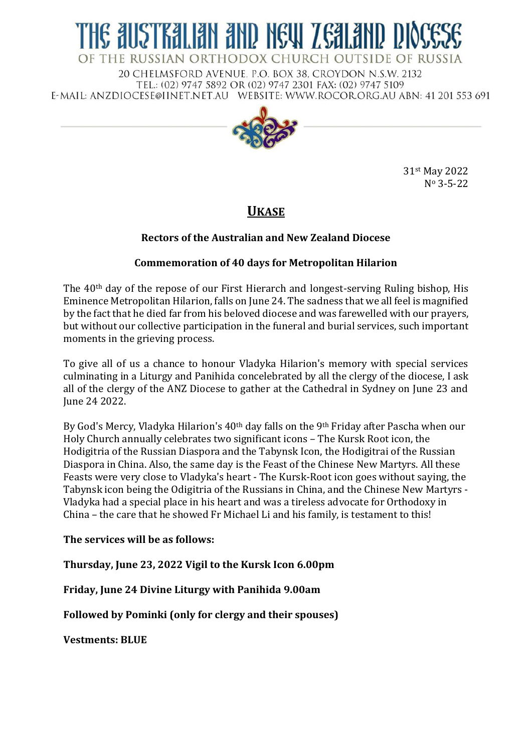# IE AUSTRALIAN AND NEW ZEALAND DK OF THE RUSSIAN ORTHODOX CHURCH OUTSIDE OF RUSSIA

20 CHELMSFORD AVENUE, P.O. BOX 38, CROYDON N.S.W. 2132 TEL.: (02) 9747 5892 OR (02) 9747 2301 FAX: (02) 9747 5109 E-MAIL: ANZDIOCESE@IINET.NET.AU WEBSITE: WWW.ROCOR.ORG.AU ABN: 41 201 553 691



31st May 2022 N<sup>o</sup> 3-5-22

# **UKASE**

## **Rectors of the Australian and New Zealand Diocese**

### **Commemoration of 40 days for Metropolitan Hilarion**

The 40th day of the repose of our First Hierarch and longest-serving Ruling bishop, His Eminence Metropolitan Hilarion, falls on June 24. The sadness that we all feel is magnified by the fact that he died far from his beloved diocese and was farewelled with our prayers, but without our collective participation in the funeral and burial services, such important moments in the grieving process.

To give all of us a chance to honour Vladyka Hilarion's memory with special services culminating in a Liturgy and Panihida concelebrated by all the clergy of the diocese, I ask all of the clergy of the ANZ Diocese to gather at the Cathedral in Sydney on June 23 and June 24 2022.

By God's Mercy, Vladyka Hilarion's 40<sup>th</sup> day falls on the 9<sup>th</sup> Friday after Pascha when our Holy Church annually celebrates two significant icons – The Kursk Root icon, the Hodigitria of the Russian Diaspora and the Tabynsk Icon, the Hodigitrai of the Russian Diaspora in China. Also, the same day is the Feast of the Chinese New Martyrs. All these Feasts were very close to Vladyka's heart - The Kursk-Root icon goes without saying, the Tabynsk icon being the Odigitria of the Russians in China, and the Chinese New Martyrs - Vladyka had a special place in his heart and was a tireless advocate for Orthodoxy in China – the care that he showed Fr Michael Li and his family, is testament to this!

#### **The services will be as follows:**

**Thursday, June 23, 2022 Vigil to the Kursk Icon 6.00pm**

**Friday, June 24 Divine Liturgy with Panihida 9.00am**

**Followed by Pominki (only for clergy and their spouses)**

**Vestments: BLUE**